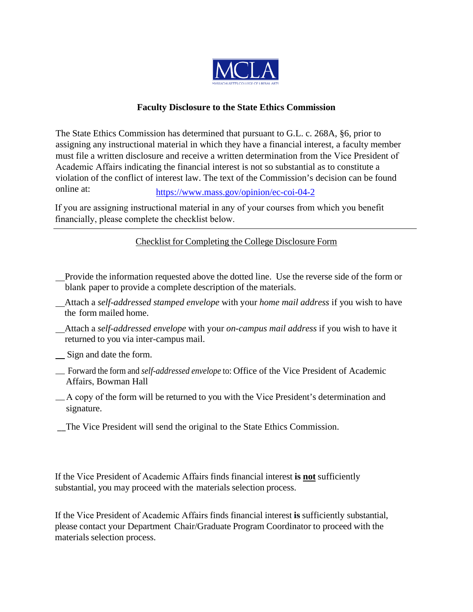

## **Faculty Disclosure to the State Ethics Commission**

The State Ethics Commission has determined that pursuant to G.L. c. 268A, §6, prior to assigning any instructional material in which they have a financial interest, a faculty member must file a written disclosure and receive a written determination from the Vice President of Academic Affairs indicating the financial interest is not so substantial as to constitute a violation of the conflict of interest law. The text of the Commission's decision can be found online at: https://www.mass.gov/opinion/ec-coi-04-2

If you are assigning instru[ctional material in any of your courses from w](https://www.mass.gov/opinion/ec-coi-04-2)hich you benefit financially, please complete the checklist below.

## Checklist for Completing the College Disclosure Form

 Provide the information requested above the dotted line. Use the reverse side of the form or blank paper to provide a complete description of the materials.

 Attach a *self-addressed stamped envelope* with your *home mail address* if you wish to have the form mailed home.

 Attach a *self-addressed envelope* with your *on-campus mail address* if you wish to have it returned to you via inter-campus mail.

Sign and date the form.

 Forward the form and *self-addressed envelope* to: Office of the Vice President of Academic Affairs, Bowman Hall

 A copy of the form will be returned to you with the Vice President's determination and signature.

\_\_The Vice President will send the original to the State Ethics Commission.

If the Vice President of Academic Affairs finds financial interest **is not** sufficiently substantial, you may proceed with the materials selection process.

If the Vice President of Academic Affairs finds financial interest **is** sufficiently substantial, please contact your Department Chair/Graduate Program Coordinator to proceed with the materials selection process.